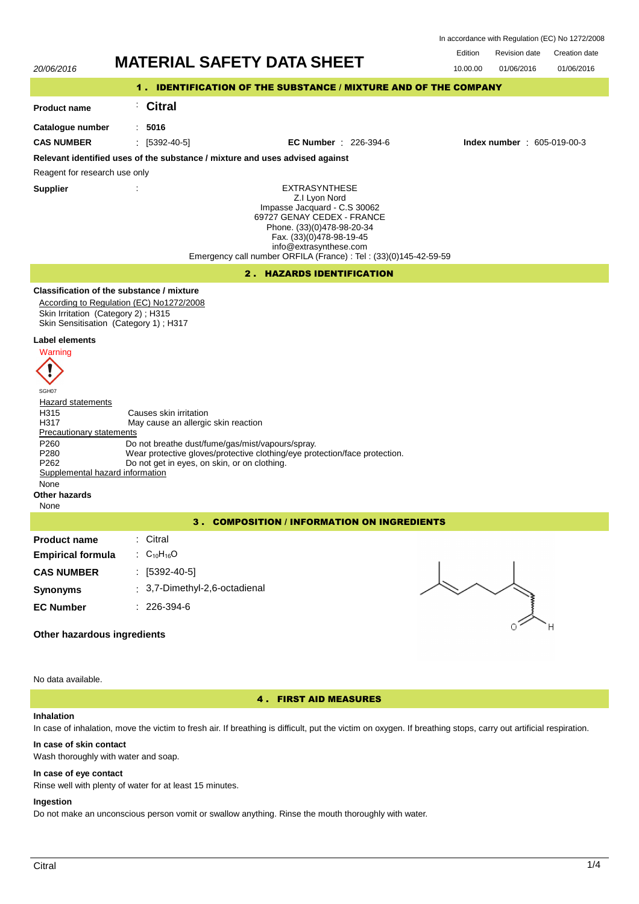In accordance with Regulation (EC) No 1272/2008



## **In case of skin contact**

Wash thoroughly with water and soap.

# **In case of eye contact**

Rinse well with plenty of water for at least 15 minutes.

### **Ingestion**

Do not make an unconscious person vomit or swallow anything. Rinse the mouth thoroughly with water.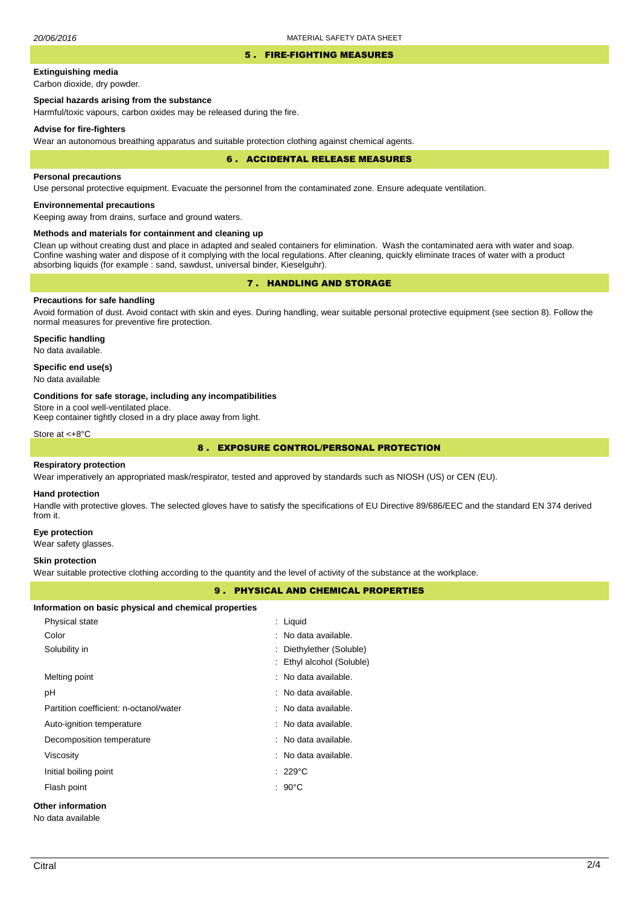#### 5 . FIRE-FIGHTING MEASURES

# **Extinguishing media**

Carbon dioxide, dry powder.

# **Special hazards arising from the substance**

Harmful/toxic vapours, carbon oxides may be released during the fire.

#### **Advise for fire-fighters**

Wear an autonomous breathing apparatus and suitable protection clothing against chemical agents.

#### 6 . ACCIDENTAL RELEASE MEASURES

#### **Personal precautions**

Use personal protective equipment. Evacuate the personnel from the contaminated zone. Ensure adequate ventilation.

# **Environnemental precautions**

Keeping away from drains, surface and ground waters.

### **Methods and materials for containment and cleaning up**

Clean up without creating dust and place in adapted and sealed containers for elimination. Wash the contaminated aera with water and soap. Confine washing water and dispose of it complying with the local regulations. After cleaning, quickly eliminate traces of water with a product absorbing liquids (for example : sand, sawdust, universal binder, Kieselguhr).

# 7 . HANDLING AND STORAGE

# **Precautions for safe handling**

Avoid formation of dust. Avoid contact with skin and eyes. During handling, wear suitable personal protective equipment (see section 8). Follow the normal measures for preventive fire protection.

**Specific handling** No data available.

### **Specific end use(s)**

No data available

#### **Conditions for safe storage, including any incompatibilities**

Store in a cool well-ventilated place.

Keep container tightly closed in a dry place away from light.

Store at <+8°C

# 8 . EXPOSURE CONTROL/PERSONAL PROTECTION

#### **Respiratory protection**

Wear imperatively an appropriated mask/respirator, tested and approved by standards such as NIOSH (US) or CEN (EU).

#### **Hand protection**

Handle with protective gloves. The selected gloves have to satisfy the specifications of EU Directive 89/686/EEC and the standard EN 374 derived from it.

#### **Eye protection**

Wear safety glasses.

## **Skin protection**

Wear suitable protective clothing according to the quantity and the level of activity of the substance at the workplace.

## 9 . PHYSICAL AND CHEMICAL PROPERTIES

| Information on basic physical and chemical properties |  |
|-------------------------------------------------------|--|
|-------------------------------------------------------|--|

| <b>Other information</b>               |  |                                 |  |  |  |
|----------------------------------------|--|---------------------------------|--|--|--|
| Flash point                            |  | $: 90^{\circ}$ C                |  |  |  |
| Initial boiling point                  |  | $: 229^{\circ}$ C               |  |  |  |
| Viscosity                              |  | : No data available.            |  |  |  |
| Decomposition temperature              |  | : No data available.            |  |  |  |
| Auto-ignition temperature              |  | $\therefore$ No data available. |  |  |  |
| Partition coefficient: n-octanol/water |  | : No data available.            |  |  |  |
| рH                                     |  | : No data available.            |  |  |  |
| Melting point                          |  | : No data available.            |  |  |  |
|                                        |  | : Ethyl alcohol (Soluble)       |  |  |  |
| Solubility in                          |  | : Diethylether (Soluble)        |  |  |  |
| Color                                  |  | : No data available.            |  |  |  |
| Physical state                         |  | $:$ Liquid                      |  |  |  |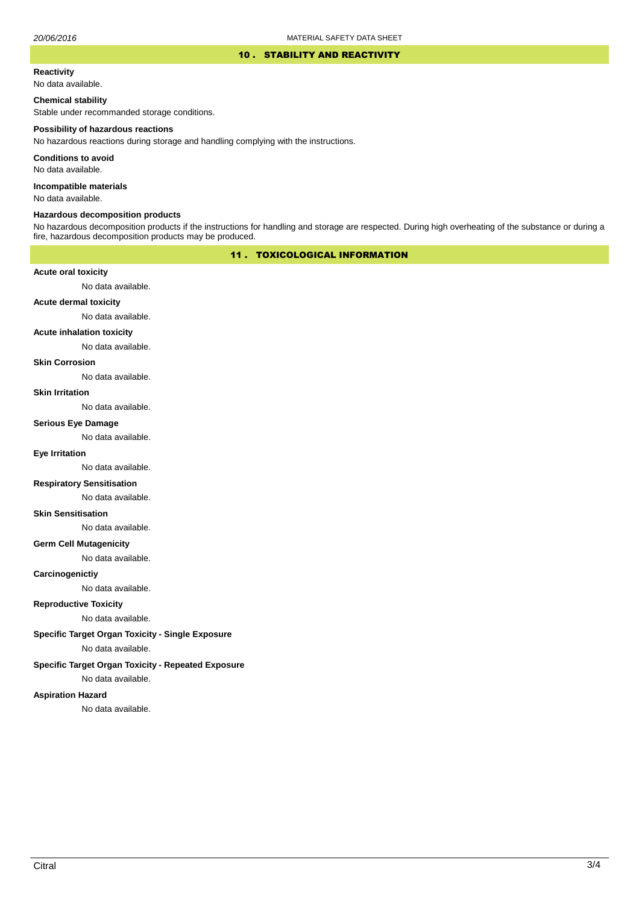#### 10 . STABILITY AND REACTIVITY

#### **Reactivity**

No data available.

### **Chemical stability**

Stable under recommanded storage conditions.

#### **Possibility of hazardous reactions**

No hazardous reactions during storage and handling complying with the instructions.

**Conditions to avoid**

No data available.

**Incompatible materials**

No data available.

#### **Hazardous decomposition products**

No hazardous decomposition products if the instructions for handling and storage are respected. During high overheating of the substance or during a fire, hazardous decomposition products may be produced.

# 11 . TOXICOLOGICAL INFORMATION

### **Acute oral toxicity**

No data available.

# **Acute dermal toxicity**

No data available.

### **Acute inhalation toxicity**

No data available.

## **Skin Corrosion**

No data available.

#### **Skin Irritation**

No data available.

# **Serious Eye Damage**

No data available.

# **Eye Irritation**

No data available.

## **Respiratory Sensitisation**

No data available.

#### **Skin Sensitisation**

No data available.

### **Germ Cell Mutagenicity**

No data available.

### **Carcinogenictiy**

No data available.

# **Reproductive Toxicity**

No data available.

# **Specific Target Organ Toxicity - Single Exposure**

No data available.

## **Specific Target Organ Toxicity - Repeated Exposure**

No data available.

#### **Aspiration Hazard**

No data available.